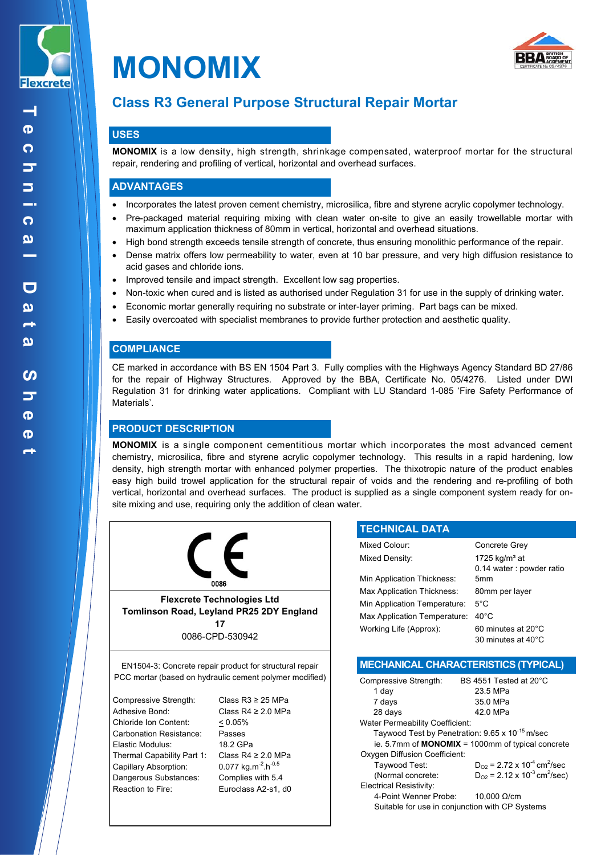



# **Class R3 General Purpose Structural Repair Mortar**

## **USES**

**MONOMIX** is a low density, high strength, shrinkage compensated, waterproof mortar for the structural repair, rendering and profiling of vertical, horizontal and overhead surfaces.

## **ADVANTAGES**

- Incorporates the latest proven cement chemistry, microsilica, fibre and styrene acrylic copolymer technology.
- Pre-packaged material requiring mixing with clean water on-site to give an easily trowellable mortar with maximum application thickness of 80mm in vertical, horizontal and overhead situations.
- High bond strength exceeds tensile strength of concrete, thus ensuring monolithic performance of the repair.
- Dense matrix offers low permeability to water, even at 10 bar pressure, and very high diffusion resistance to acid gases and chloride ions.
- Improved tensile and impact strength. Excellent low sag properties.
- Non-toxic when cured and is listed as authorised under Regulation 31 for use in the supply of drinking water.
- Economic mortar generally requiring no substrate or inter-layer priming. Part bags can be mixed.
- Easily overcoated with specialist membranes to provide further protection and aesthetic quality.

## **COMPLIANCE**

CE marked in accordance with BS EN 1504 Part 3. Fully complies with the Highways Agency Standard BD 27/86 for the repair of Highway Structures. Approved by the BBA, Certificate No. 05/4276. Listed under DWI Regulation 31 for drinking water applications. Compliant with LU Standard 1-085 'Fire Safety Performance of Materials'.

## **PRODUCT DESCRIPTION**

**MONOMIX** is a single component cementitious mortar which incorporates the most advanced cement chemistry, microsilica, fibre and styrene acrylic copolymer technology. This results in a rapid hardening, low density, high strength mortar with enhanced polymer properties. The thixotropic nature of the product enables easy high build trowel application for the structural repair of voids and the rendering and re-profiling of both vertical, horizontal and overhead surfaces. The product is supplied as a single component system ready for onsite mixing and use, requiring only the addition of clean water.



EN1504-3: Concrete repair product for structural repair PCC mortar (based on hydraulic cement polymer modified)

Compressive Strength: Class R3 ≥ 25 MPa Adhesive Bond: Class R4 ≥ 2.0 MPa<br>Chloride Ion Content: < 0.05% Chloride Ion Content: Carbonation Resistance: Passes Elastic Modulus: 18.2 GPa Thermal Capability Part 1: Class R4 ≥ 2.0 MPa Capillary Absorption: 0.077 kg.m<sup>-2</sup>.h<sup>-0.5</sup> Dangerous Substances: Complies with 5.4 Reaction to Fire: Euroclass A2-s1, d0

| <b>TECHNICAL DATA</b>        |                           |
|------------------------------|---------------------------|
| Mixed Colour:                | Concrete Grey             |
| Mixed Density:               | 1725 kg/m <sup>3</sup> at |
|                              | 0.14 water: powder ratio  |
| Min Application Thickness:   | 5mm                       |
| Max Application Thickness:   | 80mm per layer            |
| Min Application Temperature: | $5^{\circ}$ C             |
| Max Application Temperature: | $40^{\circ}$ C            |
| Working Life (Approx):       | 60 minutes at 20°C        |
|                              | 30 minutes at 40°C        |

## **MECHANICAL CHARACTERISTICS (TYPICAL)**

| Compressive Strength:                                       | BS 4551 Tested at 20°C                                   |  |
|-------------------------------------------------------------|----------------------------------------------------------|--|
| 1 day                                                       | 23.5 MPa                                                 |  |
| 7 days                                                      | 35.0 MPa                                                 |  |
| 28 days                                                     | 42.0 MPa                                                 |  |
| <b>Water Permeability Coefficient:</b>                      |                                                          |  |
| Taywood Test by Penetration: 9.65 x 10 <sup>-15</sup> m/sec |                                                          |  |
| ie. 5.7mm of $MONOMIX = 1000mm$ of typical concrete         |                                                          |  |
| <b>Oxygen Diffusion Coefficient:</b>                        |                                                          |  |
| Taywood Test:                                               | $D_{O2}$ = 2.72 x 10 <sup>-4</sup> cm <sup>2</sup> /sec  |  |
| (Normal concrete:                                           | $D_{O2}$ = 2.12 x 10 <sup>-3</sup> cm <sup>2</sup> /sec) |  |
| <b>Electrical Resistivity:</b>                              |                                                          |  |
| 4-Point Wenner Probe:                                       | 10,000 $\Omega$ /cm                                      |  |
| Suitable for use in conjunction with CP Systems             |                                                          |  |